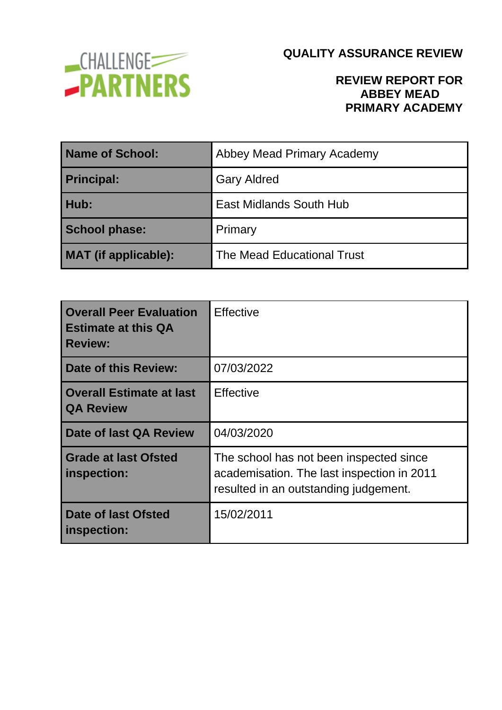

### **REVIEW REPORT FOR ABBEY MEAD PRIMARY ACADEMY**

| <b>Name of School:</b>      | Abbey Mead Primary Academy        |
|-----------------------------|-----------------------------------|
| <b>Principal:</b>           | <b>Gary Aldred</b>                |
| Hub:                        | East Midlands South Hub           |
| <b>School phase:</b>        | Primary                           |
| <b>MAT</b> (if applicable): | <b>The Mead Educational Trust</b> |

| <b>Overall Peer Evaluation</b><br><b>Estimate at this QA</b><br><b>Review:</b> | <b>Effective</b>                                                                                                               |  |
|--------------------------------------------------------------------------------|--------------------------------------------------------------------------------------------------------------------------------|--|
| Date of this Review:                                                           | 07/03/2022                                                                                                                     |  |
| <b>Overall Estimate at last</b><br><b>QA Review</b>                            | <b>Effective</b>                                                                                                               |  |
| Date of last QA Review                                                         | 04/03/2020                                                                                                                     |  |
| <b>Grade at last Ofsted</b><br>inspection:                                     | The school has not been inspected since<br>academisation. The last inspection in 2011<br>resulted in an outstanding judgement. |  |
| Date of last Ofsted<br>inspection:                                             | 15/02/2011                                                                                                                     |  |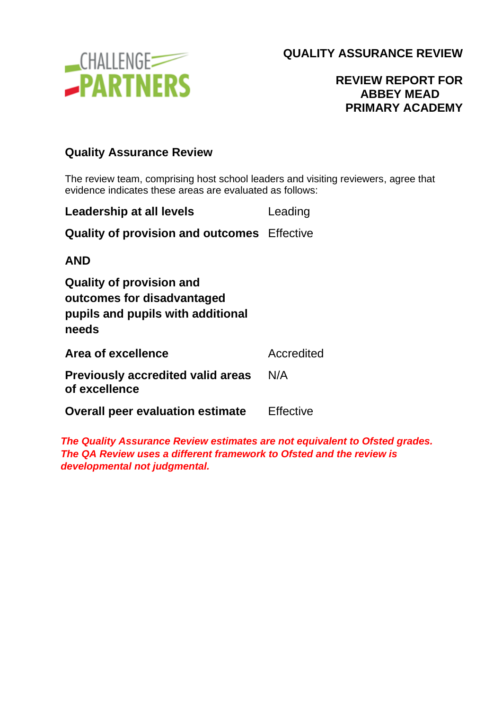

### **REVIEW REPORT FOR ABBEY MEAD PRIMARY ACADEMY**

#### **Quality Assurance Review**

The review team, comprising host school leaders and visiting reviewers, agree that evidence indicates these areas are evaluated as follows:

| Leadership at all levels                                                                                    | Leading    |
|-------------------------------------------------------------------------------------------------------------|------------|
| <b>Quality of provision and outcomes</b> Effective                                                          |            |
| <b>AND</b>                                                                                                  |            |
| <b>Quality of provision and</b><br>outcomes for disadvantaged<br>pupils and pupils with additional<br>needs |            |
| Area of excellence                                                                                          | Accredited |
| <b>Previously accredited valid areas</b><br>of excellence                                                   | N/A        |
| <b>Overall peer evaluation estimate</b>                                                                     | Effective  |

*The Quality Assurance Review estimates are not equivalent to Ofsted grades. The QA Review uses a different framework to Ofsted and the review is developmental not judgmental.*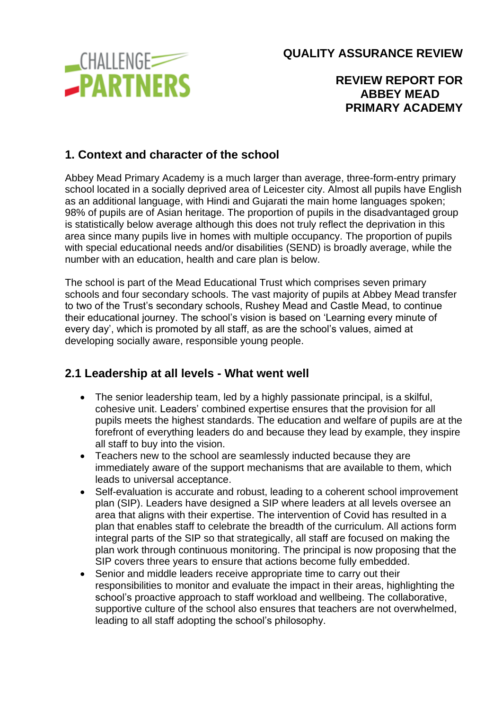**CHALLENGE -PARTNERS**  **QUALITY ASSURANCE REVIEW**

### **REVIEW REPORT FOR ABBEY MEAD PRIMARY ACADEMY**

## **1. Context and character of the school**

Abbey Mead Primary Academy is a much larger than average, three-form-entry primary school located in a socially deprived area of Leicester city. Almost all pupils have English as an additional language, with Hindi and Gujarati the main home languages spoken; 98% of pupils are of Asian heritage. The proportion of pupils in the disadvantaged group is statistically below average although this does not truly reflect the deprivation in this area since many pupils live in homes with multiple occupancy. The proportion of pupils with special educational needs and/or disabilities (SEND) is broadly average, while the number with an education, health and care plan is below.

The school is part of the Mead Educational Trust which comprises seven primary schools and four secondary schools. The vast majority of pupils at Abbey Mead transfer to two of the Trust's secondary schools, Rushey Mead and Castle Mead, to continue their educational journey. The school's vision is based on 'Learning every minute of every day', which is promoted by all staff, as are the school's values, aimed at developing socially aware, responsible young people.

## **2.1 Leadership at all levels - What went well**

- The senior leadership team, led by a highly passionate principal, is a skilful, cohesive unit. Leaders' combined expertise ensures that the provision for all pupils meets the highest standards. The education and welfare of pupils are at the forefront of everything leaders do and because they lead by example, they inspire all staff to buy into the vision.
- Teachers new to the school are seamlessly inducted because they are immediately aware of the support mechanisms that are available to them, which leads to universal acceptance.
- Self-evaluation is accurate and robust, leading to a coherent school improvement plan (SIP). Leaders have designed a SIP where leaders at all levels oversee an area that aligns with their expertise. The intervention of Covid has resulted in a plan that enables staff to celebrate the breadth of the curriculum. All actions form integral parts of the SIP so that strategically, all staff are focused on making the plan work through continuous monitoring. The principal is now proposing that the SIP covers three years to ensure that actions become fully embedded.
- Senior and middle leaders receive appropriate time to carry out their responsibilities to monitor and evaluate the impact in their areas, highlighting the school's proactive approach to staff workload and wellbeing. The collaborative, supportive culture of the school also ensures that teachers are not overwhelmed, leading to all staff adopting the school's philosophy.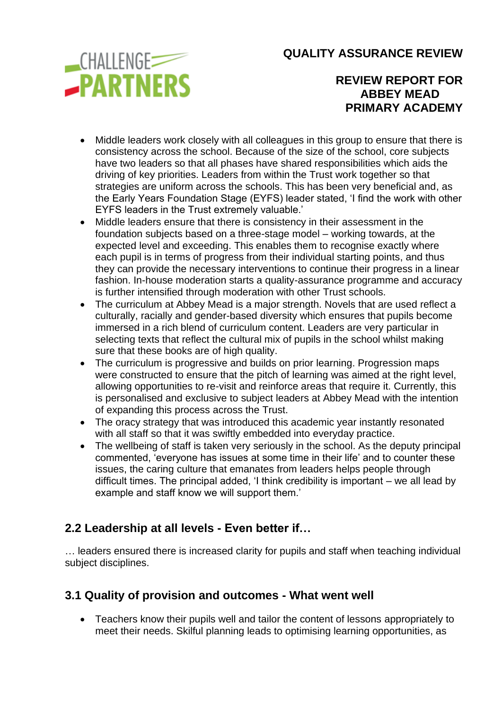

**REVIEW REPORT FOR ABBEY MEAD PRIMARY ACADEMY**

- Middle leaders work closely with all colleagues in this group to ensure that there is consistency across the school. Because of the size of the school, core subjects have two leaders so that all phases have shared responsibilities which aids the driving of key priorities. Leaders from within the Trust work together so that strategies are uniform across the schools. This has been very beneficial and, as the Early Years Foundation Stage (EYFS) leader stated, 'I find the work with other EYFS leaders in the Trust extremely valuable.'
- Middle leaders ensure that there is consistency in their assessment in the foundation subjects based on a three-stage model – working towards, at the expected level and exceeding. This enables them to recognise exactly where each pupil is in terms of progress from their individual starting points, and thus they can provide the necessary interventions to continue their progress in a linear fashion. In-house moderation starts a quality-assurance programme and accuracy is further intensified through moderation with other Trust schools.
- The curriculum at Abbey Mead is a major strength. Novels that are used reflect a culturally, racially and gender-based diversity which ensures that pupils become immersed in a rich blend of curriculum content. Leaders are very particular in selecting texts that reflect the cultural mix of pupils in the school whilst making sure that these books are of high quality.
- The curriculum is progressive and builds on prior learning. Progression maps were constructed to ensure that the pitch of learning was aimed at the right level, allowing opportunities to re-visit and reinforce areas that require it. Currently, this is personalised and exclusive to subject leaders at Abbey Mead with the intention of expanding this process across the Trust.
- The oracy strategy that was introduced this academic year instantly resonated with all staff so that it was swiftly embedded into everyday practice.
- The wellbeing of staff is taken very seriously in the school. As the deputy principal commented, 'everyone has issues at some time in their life' and to counter these issues, the caring culture that emanates from leaders helps people through difficult times. The principal added, 'I think credibility is important – we all lead by example and staff know we will support them.'

## **2.2 Leadership at all levels - Even better if…**

… leaders ensured there is increased clarity for pupils and staff when teaching individual subject disciplines.

## **3.1 Quality of provision and outcomes - What went well**

• Teachers know their pupils well and tailor the content of lessons appropriately to meet their needs. Skilful planning leads to optimising learning opportunities, as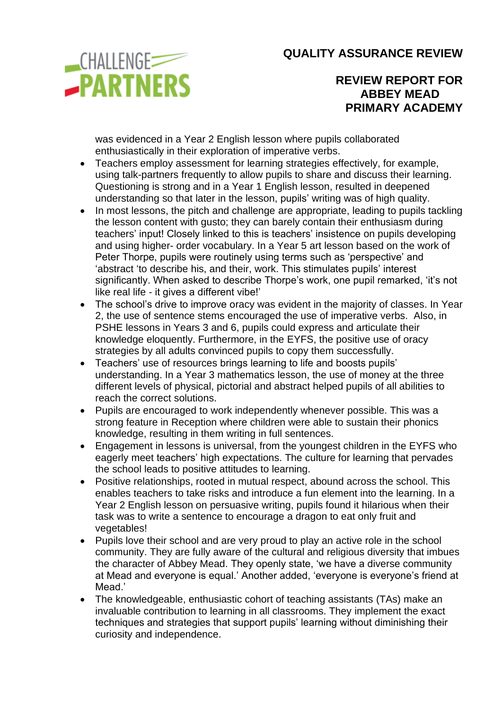

### **REVIEW REPORT FOR ABBEY MEAD PRIMARY ACADEMY**

was evidenced in a Year 2 English lesson where pupils collaborated enthusiastically in their exploration of imperative verbs.

- Teachers employ assessment for learning strategies effectively, for example, using talk-partners frequently to allow pupils to share and discuss their learning. Questioning is strong and in a Year 1 English lesson, resulted in deepened understanding so that later in the lesson, pupils' writing was of high quality.
- In most lessons, the pitch and challenge are appropriate, leading to pupils tackling the lesson content with gusto; they can barely contain their enthusiasm during teachers' input! Closely linked to this is teachers' insistence on pupils developing and using higher- order vocabulary. In a Year 5 art lesson based on the work of Peter Thorpe, pupils were routinely using terms such as 'perspective' and 'abstract 'to describe his, and their, work. This stimulates pupils' interest significantly. When asked to describe Thorpe's work, one pupil remarked, 'it's not like real life - it gives a different vibe!'
- The school's drive to improve oracy was evident in the majority of classes. In Year 2, the use of sentence stems encouraged the use of imperative verbs. Also, in PSHE lessons in Years 3 and 6, pupils could express and articulate their knowledge eloquently. Furthermore, in the EYFS, the positive use of oracy strategies by all adults convinced pupils to copy them successfully.
- Teachers' use of resources brings learning to life and boosts pupils' understanding. In a Year 3 mathematics lesson, the use of money at the three different levels of physical, pictorial and abstract helped pupils of all abilities to reach the correct solutions.
- Pupils are encouraged to work independently whenever possible. This was a strong feature in Reception where children were able to sustain their phonics knowledge, resulting in them writing in full sentences.
- Engagement in lessons is universal, from the youngest children in the EYFS who eagerly meet teachers' high expectations. The culture for learning that pervades the school leads to positive attitudes to learning.
- Positive relationships, rooted in mutual respect, abound across the school. This enables teachers to take risks and introduce a fun element into the learning. In a Year 2 English lesson on persuasive writing, pupils found it hilarious when their task was to write a sentence to encourage a dragon to eat only fruit and vegetables!
- Pupils love their school and are very proud to play an active role in the school community. They are fully aware of the cultural and religious diversity that imbues the character of Abbey Mead. They openly state, 'we have a diverse community at Mead and everyone is equal.' Another added, 'everyone is everyone's friend at Mead<sup>'</sup>
- The knowledgeable, enthusiastic cohort of teaching assistants (TAs) make an invaluable contribution to learning in all classrooms. They implement the exact techniques and strategies that support pupils' learning without diminishing their curiosity and independence.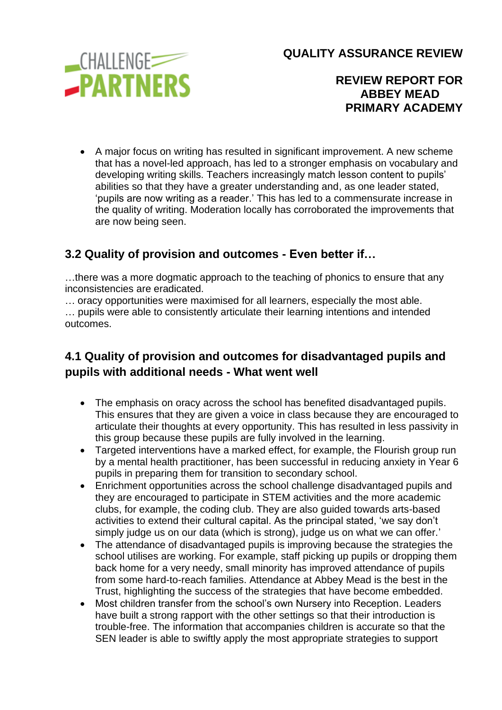**CHALLENGE -PARTNERS**  **QUALITY ASSURANCE REVIEW**

### **REVIEW REPORT FOR ABBEY MEAD PRIMARY ACADEMY**

• A major focus on writing has resulted in significant improvement. A new scheme that has a novel-led approach, has led to a stronger emphasis on vocabulary and developing writing skills. Teachers increasingly match lesson content to pupils' abilities so that they have a greater understanding and, as one leader stated, 'pupils are now writing as a reader.' This has led to a commensurate increase in the quality of writing. Moderation locally has corroborated the improvements that are now being seen.

## **3.2 Quality of provision and outcomes - Even better if…**

…there was a more dogmatic approach to the teaching of phonics to ensure that any inconsistencies are eradicated.

… oracy opportunities were maximised for all learners, especially the most able. … pupils were able to consistently articulate their learning intentions and intended outcomes.

# **4.1 Quality of provision and outcomes for disadvantaged pupils and pupils with additional needs - What went well**

- The emphasis on oracy across the school has benefited disadvantaged pupils. This ensures that they are given a voice in class because they are encouraged to articulate their thoughts at every opportunity. This has resulted in less passivity in this group because these pupils are fully involved in the learning.
- Targeted interventions have a marked effect, for example, the Flourish group run by a mental health practitioner, has been successful in reducing anxiety in Year 6 pupils in preparing them for transition to secondary school.
- Enrichment opportunities across the school challenge disadvantaged pupils and they are encouraged to participate in STEM activities and the more academic clubs, for example, the coding club. They are also guided towards arts-based activities to extend their cultural capital. As the principal stated, 'we say don't simply judge us on our data (which is strong), judge us on what we can offer.'
- The attendance of disadvantaged pupils is improving because the strategies the school utilises are working. For example, staff picking up pupils or dropping them back home for a very needy, small minority has improved attendance of pupils from some hard-to-reach families. Attendance at Abbey Mead is the best in the Trust, highlighting the success of the strategies that have become embedded.
- Most children transfer from the school's own Nursery into Reception. Leaders have built a strong rapport with the other settings so that their introduction is trouble-free. The information that accompanies children is accurate so that the SEN leader is able to swiftly apply the most appropriate strategies to support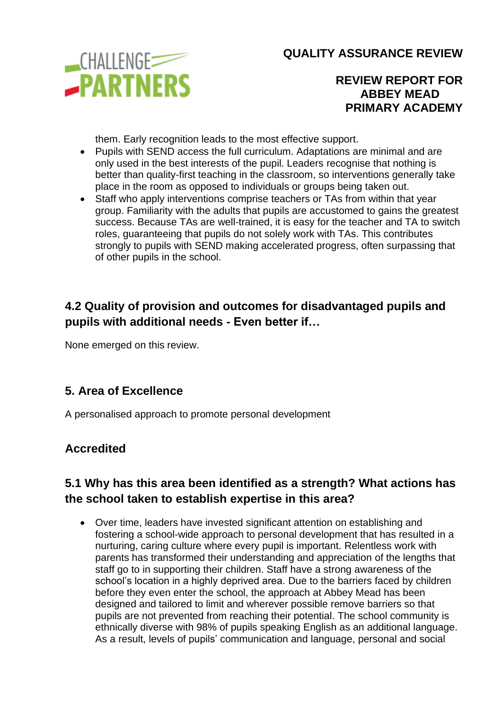

### **REVIEW REPORT FOR ABBEY MEAD PRIMARY ACADEMY**

them. Early recognition leads to the most effective support.

- Pupils with SEND access the full curriculum. Adaptations are minimal and are only used in the best interests of the pupil. Leaders recognise that nothing is better than quality-first teaching in the classroom, so interventions generally take place in the room as opposed to individuals or groups being taken out.
- Staff who apply interventions comprise teachers or TAs from within that year group. Familiarity with the adults that pupils are accustomed to gains the greatest success. Because TAs are well-trained, it is easy for the teacher and TA to switch roles, guaranteeing that pupils do not solely work with TAs. This contributes strongly to pupils with SEND making accelerated progress, often surpassing that of other pupils in the school.

## **4.2 Quality of provision and outcomes for disadvantaged pupils and pupils with additional needs - Even better if…**

None emerged on this review.

### **5. Area of Excellence**

A personalised approach to promote personal development

### **Accredited**

## **5.1 Why has this area been identified as a strength? What actions has the school taken to establish expertise in this area?**

• Over time, leaders have invested significant attention on establishing and fostering a school-wide approach to personal development that has resulted in a nurturing, caring culture where every pupil is important. Relentless work with parents has transformed their understanding and appreciation of the lengths that staff go to in supporting their children. Staff have a strong awareness of the school's location in a highly deprived area. Due to the barriers faced by children before they even enter the school, the approach at Abbey Mead has been designed and tailored to limit and wherever possible remove barriers so that pupils are not prevented from reaching their potential. The school community is ethnically diverse with 98% of pupils speaking English as an additional language. As a result, levels of pupils' communication and language, personal and social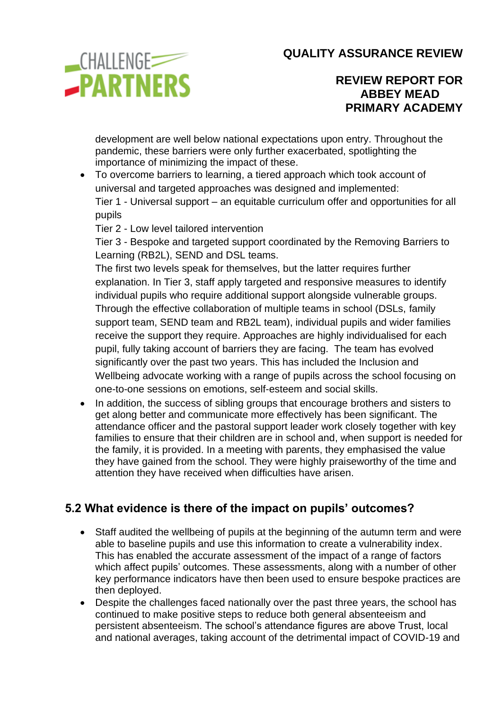

#### **REVIEW REPORT FOR ABBEY MEAD PRIMARY ACADEMY**

development are well below national expectations upon entry. Throughout the pandemic, these barriers were only further exacerbated, spotlighting the importance of minimizing the impact of these.

• To overcome barriers to learning, a tiered approach which took account of universal and targeted approaches was designed and implemented:

Tier 1 - Universal support – an equitable curriculum offer and opportunities for all pupils

Tier 2 - Low level tailored intervention

Tier 3 - Bespoke and targeted support coordinated by the Removing Barriers to Learning (RB2L), SEND and DSL teams.

The first two levels speak for themselves, but the latter requires further explanation. In Tier 3, staff apply targeted and responsive measures to identify individual pupils who require additional support alongside vulnerable groups. Through the effective collaboration of multiple teams in school (DSLs, family support team, SEND team and RB2L team), individual pupils and wider families receive the support they require. Approaches are highly individualised for each pupil, fully taking account of barriers they are facing. The team has evolved significantly over the past two years. This has included the Inclusion and Wellbeing advocate working with a range of pupils across the school focusing on one-to-one sessions on emotions, self-esteem and social skills.

• In addition, the success of sibling groups that encourage brothers and sisters to get along better and communicate more effectively has been significant. The attendance officer and the pastoral support leader work closely together with key families to ensure that their children are in school and, when support is needed for the family, it is provided. In a meeting with parents, they emphasised the value they have gained from the school. They were highly praiseworthy of the time and attention they have received when difficulties have arisen.

# **5.2 What evidence is there of the impact on pupils' outcomes?**

- Staff audited the wellbeing of pupils at the beginning of the autumn term and were able to baseline pupils and use this information to create a vulnerability index. This has enabled the accurate assessment of the impact of a range of factors which affect pupils' outcomes. These assessments, along with a number of other key performance indicators have then been used to ensure bespoke practices are then deployed.
- Despite the challenges faced nationally over the past three years, the school has continued to make positive steps to reduce both general absenteeism and persistent absenteeism. The school's attendance figures are above Trust, local and national averages, taking account of the detrimental impact of COVID-19 and